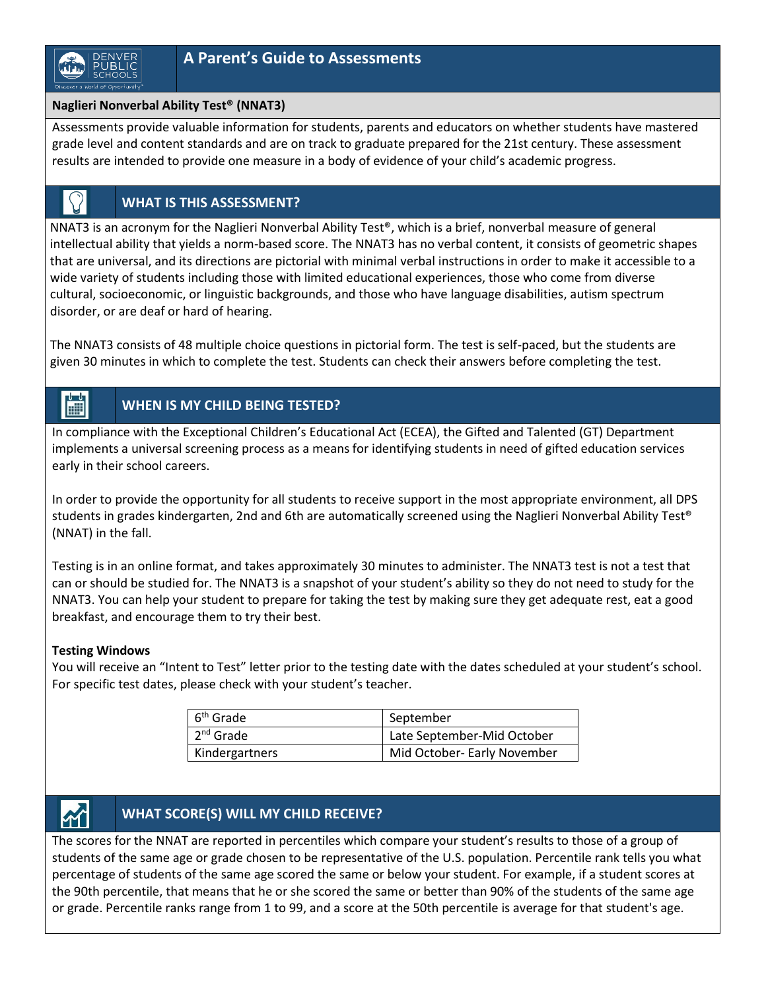

 $\Omega$ 

### **Naglieri Nonverbal Ability Test® (NNAT3)**

Assessments provide valuable information for students, parents and educators on whether students have mastered grade level and content standards and are on track to graduate prepared for the 21st century. These assessment results are intended to provide one measure in a body of evidence of your child's academic progress.

## **WHAT IS THIS ASSESSMENT?**

NNAT3 is an acronym for the Naglieri Nonverbal Ability Test®, which is a brief, nonverbal measure of general intellectual ability that yields a norm-based score. The NNAT3 has no verbal content, it consists of geometric shapes that are universal, and its directions are pictorial with minimal verbal instructions in order to make it accessible to a wide variety of students including those with limited educational experiences, those who come from diverse cultural, socioeconomic, or linguistic backgrounds, and those who have language disabilities, autism spectrum disorder, or are deaf or hard of hearing.

The NNAT3 consists of 48 multiple choice questions in pictorial form. The test is self-paced, but the students are given 30 minutes in which to complete the test. Students can check their answers before completing the test.

#### 圖 **WHEN IS MY CHILD BEING TESTED?**

In compliance with the Exceptional Children's Educational Act (ECEA), the Gifted and Talented (GT) Department implements a universal screening process as a means for identifying students in need of gifted education services early in their school careers.

In order to provide the opportunity for all students to receive support in the most appropriate environment, all DPS students in grades kindergarten, 2nd and 6th are automatically screened using the Naglieri Nonverbal Ability Test® (NNAT) in the fall.

Testing is in an online format, and takes approximately 30 minutes to administer. The NNAT3 test is not a test that can or should be studied for. The NNAT3 is a snapshot of your student's ability so they do not need to study for the NNAT3. You can help your student to prepare for taking the test by making sure they get adequate rest, eat a good breakfast, and encourage them to try their best.

#### **Testing Windows**

You will receive an "Intent to Test" letter prior to the testing date with the dates scheduled at your student's school. For specific test dates, please check with your student's teacher.

| $6th$ Grade                   | September                   |
|-------------------------------|-----------------------------|
| $\vert$ 2 <sup>nd</sup> Grade | Late September-Mid October  |
| <b>Kindergartners</b>         | Mid October- Early November |

# **WHAT SCORE(S) WILL MY CHILD RECEIVE?**

The scores for the NNAT are reported in percentiles which compare your student's results to those of a group of students of the same age or grade chosen to be representative of the U.S. population. Percentile rank tells you what percentage of students of the same age scored the same or below your student. For example, if a student scores at the 90th percentile, that means that he or she scored the same or better than 90% of the students of the same age or grade. Percentile ranks range from 1 to 99, and a score at the 50th percentile is average for that student's age.